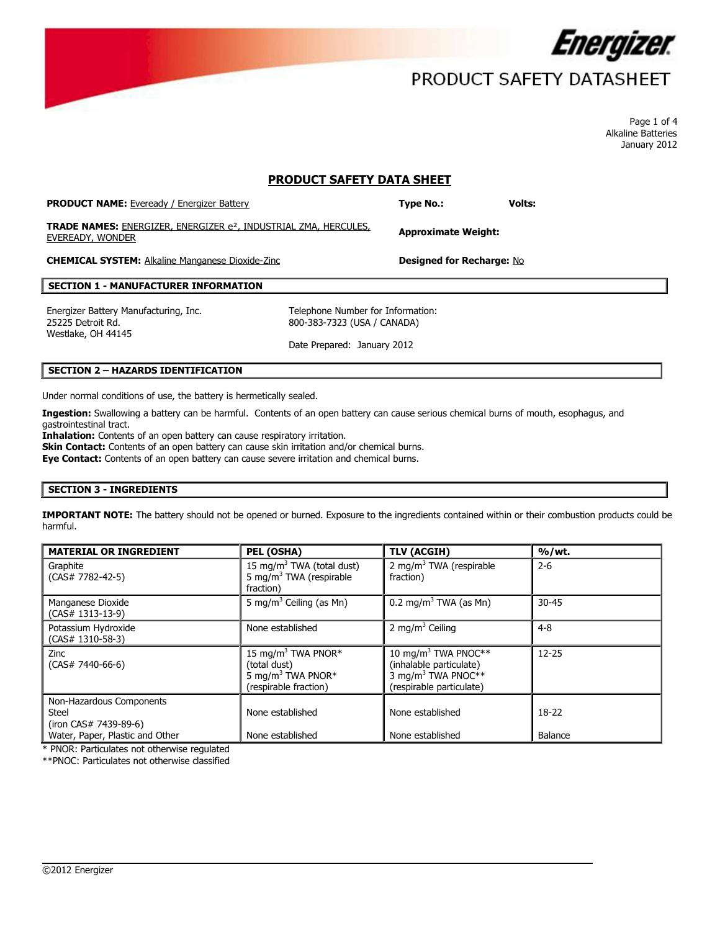

# PRODUCT SAFETY DATASHEET

Page 1 of 4 Alkaline Batteries January 2012

## **PRODUCT SAFETY DATA SHEET**

| <b>PRODUCT NAME:</b> Eveready / Energizer Battery                                                       | <b>Type No.:</b>                 | Volts: |
|---------------------------------------------------------------------------------------------------------|----------------------------------|--------|
| <b>TRADE NAMES:</b> ENERGIZER, ENERGIZER e <sup>2</sup> , INDUSTRIAL ZMA, HERCULES,<br>EVEREADY, WONDER | <b>Approximate Weight:</b>       |        |
| <b>CHEMICAL SYSTEM:</b> Alkaline Manganese Dioxide-Zinc                                                 | <b>Designed for Recharge: No</b> |        |

#### **SECTION 1 - MANUFACTURER INFORMATION**

Energizer Battery Manufacturing, Inc. Telephone Number for Information: 25225 Detroit Rd. Westlake, OH 44145

800-383-7323 (USA / CANADA)

Date Prepared: January 2012

## **SECTION 2 – HAZARDS IDENTIFICATION**

Under normal conditions of use, the battery is hermetically sealed.

**Ingestion:** Swallowing a battery can be harmful. Contents of an open battery can cause serious chemical burns of mouth, esophagus, and gastrointestinal tract.

Inhalation: Contents of an open battery can cause respiratory irritation. **Skin Contact:** Contents of an open battery can cause skin irritation and/or chemical burns. **Eye Contact:** Contents of an open battery can cause severe irritation and chemical burns.

## **SECTION 3 - INGREDIENTS**

**IMPORTANT NOTE:** The battery should not be opened or burned. Exposure to the ingredients contained within or their combustion products could be harmful.

| <b>MATERIAL OR INGREDIENT</b>                                     | PEL (OSHA)                                                                                               | TLV (ACGIH)                                                                                                              | %/wt.              |
|-------------------------------------------------------------------|----------------------------------------------------------------------------------------------------------|--------------------------------------------------------------------------------------------------------------------------|--------------------|
| Graphite<br>$(CAS# 7782-42-5)$                                    | 15 mg/m <sup>3</sup> TWA (total dust)<br>5 mg/m <sup>3</sup> TWA (respirable<br>fraction)                | 2 mg/m <sup>3</sup> TWA (respirable<br>fraction)                                                                         | $2 - 6$            |
| Manganese Dioxide<br>$(CAS# 1313-13-9)$                           | 5 mg/m <sup>3</sup> Ceiling (as Mn)                                                                      | 0.2 mg/m <sup>3</sup> TWA (as Mn)                                                                                        | $30 - 45$          |
| Potassium Hydroxide<br>$(CAS# 1310-58-3)$                         | None established                                                                                         | 2 mg/m <sup>3</sup> Ceiling                                                                                              | $4 - 8$            |
| Zinc<br>$(CAS# 7440-66-6)$                                        | 15 mg/m <sup>3</sup> TWA PNOR*<br>(total dust)<br>5 mg/m <sup>3</sup> TWA PNOR*<br>(respirable fraction) | 10 mg/m <sup>3</sup> TWA PNOC**<br>(inhalable particulate)<br>3 mg/m <sup>3</sup> TWA PNOC**<br>(respirable particulate) | $12 - 25$          |
| Non-Hazardous Components<br><b>Steel</b><br>(iron CAS# 7439-89-6) | None established<br>None established                                                                     | None established<br>None established                                                                                     | $18-22$<br>Balance |
| Water, Paper, Plastic and Other                                   |                                                                                                          |                                                                                                                          |                    |

 $\overline{\phantom{a}}$ 

\* PNOR: Particulates not otherwise regulated

\*\*PNOC: Particulates not otherwise classified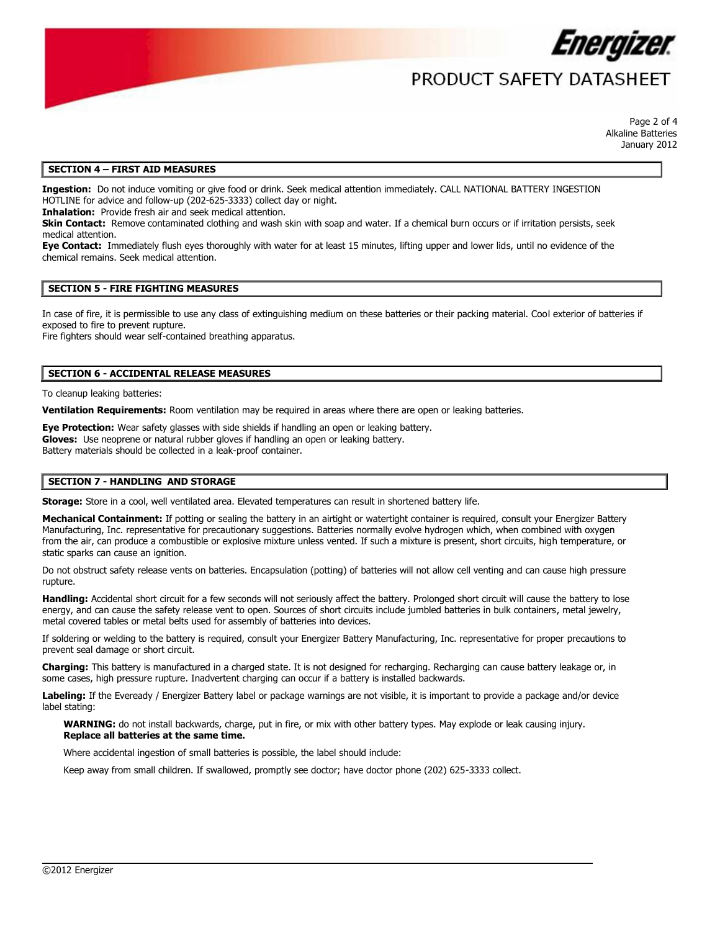

## PRODUCT SAFFTY DATASHFFT

Page 2 of 4 Alkaline Batteries January 2012

#### **SECTION 4 – FIRST AID MEASURES**

**Ingestion:** Do not induce vomiting or give food or drink. Seek medical attention immediately. CALL NATIONAL BATTERY INGESTION HOTLINE for advice and follow-up (202-625-3333) collect day or night.

**Inhalation:** Provide fresh air and seek medical attention.

**Skin Contact:** Remove contaminated clothing and wash skin with soap and water. If a chemical burn occurs or if irritation persists, seek medical attention.

**Eye Contact:** Immediately flush eyes thoroughly with water for at least 15 minutes, lifting upper and lower lids, until no evidence of the chemical remains. Seek medical attention.

## **SECTION 5 - FIRE FIGHTING MEASURES**

In case of fire, it is permissible to use any class of extinguishing medium on these batteries or their packing material. Cool exterior of batteries if exposed to fire to prevent rupture.

Fire fighters should wear self-contained breathing apparatus.

### **SECTION 6 - ACCIDENTAL RELEASE MEASURES**

To cleanup leaking batteries:

**Ventilation Requirements:** Room ventilation may be required in areas where there are open or leaking batteries.

**Eye Protection:** Wear safety glasses with side shields if handling an open or leaking battery. **Gloves:** Use neoprene or natural rubber gloves if handling an open or leaking battery. Battery materials should be collected in a leak-proof container.

## **SECTION 7 - HANDLING AND STORAGE**

**Storage:** Store in a cool, well ventilated area. Elevated temperatures can result in shortened battery life.

Mechanical Containment: If potting or sealing the battery in an airtight or watertight container is required, consult your Energizer Battery Manufacturing, Inc. representative for precautionary suggestions. Batteries normally evolve hydrogen which, when combined with oxygen from the air, can produce a combustible or explosive mixture unless vented. If such a mixture is present, short circuits, high temperature, or static sparks can cause an ignition.

Do not obstruct safety release vents on batteries. Encapsulation (potting) of batteries will not allow cell venting and can cause high pressure rupture.

**Handling:** Accidental short circuit for a few seconds will not seriously affect the battery. Prolonged short circuit will cause the battery to lose energy, and can cause the safety release vent to open. Sources of short circuits include jumbled batteries in bulk containers, metal jewelry, metal covered tables or metal belts used for assembly of batteries into devices.

If soldering or welding to the battery is required, consult your Energizer Battery Manufacturing, Inc. representative for proper precautions to prevent seal damage or short circuit.

**Charging:** This battery is manufactured in a charged state. It is not designed for recharging. Recharging can cause battery leakage or, in some cases, high pressure rupture. Inadvertent charging can occur if a battery is installed backwards.

**Labeling:** If the Eveready / Energizer Battery label or package warnings are not visible, it is important to provide a package and/or device label stating:

 $\overline{\phantom{a}}$ 

**WARNING:** do not install backwards, charge, put in fire, or mix with other battery types. May explode or leak causing injury. **Replace all batteries at the same time.**

Where accidental ingestion of small batteries is possible, the label should include:

Keep away from small children. If swallowed, promptly see doctor; have doctor phone (202) 625-3333 collect.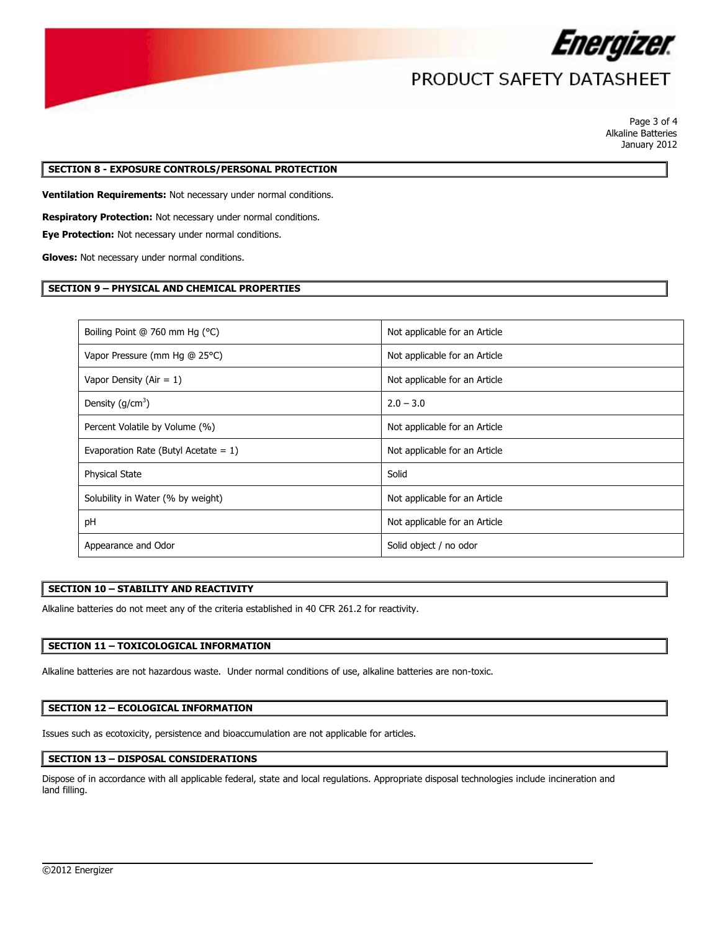

## PRODUCT SAFETY DATASHEET

Page 3 of 4 Alkaline Batteries January 2012

## **SECTION 8 - EXPOSURE CONTROLS/PERSONAL PROTECTION**

**Ventilation Requirements:** Not necessary under normal conditions.

**Respiratory Protection:** Not necessary under normal conditions.

**Eye Protection:** Not necessary under normal conditions.

**Gloves:** Not necessary under normal conditions.

## **SECTION 9 – PHYSICAL AND CHEMICAL PROPERTIES**

| Boiling Point @ 760 mm Hg (°C)          | Not applicable for an Article |
|-----------------------------------------|-------------------------------|
| Vapor Pressure (mm Hg @ 25°C)           | Not applicable for an Article |
| Vapor Density (Air = $1$ )              | Not applicable for an Article |
| Density $(g/cm^3)$                      | $2.0 - 3.0$                   |
| Percent Volatile by Volume (%)          | Not applicable for an Article |
| Evaporation Rate (Butyl Acetate $= 1$ ) | Not applicable for an Article |
| <b>Physical State</b>                   | Solid                         |
| Solubility in Water (% by weight)       | Not applicable for an Article |
| pH                                      | Not applicable for an Article |
| Appearance and Odor                     | Solid object / no odor        |

## **SECTION 10 – STABILITY AND REACTIVITY**

Alkaline batteries do not meet any of the criteria established in 40 CFR 261.2 for reactivity.

## **SECTION 11 – TOXICOLOGICAL INFORMATION**

Alkaline batteries are not hazardous waste. Under normal conditions of use, alkaline batteries are non-toxic.

## **SECTION 12 – ECOLOGICAL INFORMATION**

Issues such as ecotoxicity, persistence and bioaccumulation are not applicable for articles.

## **SECTION 13 – DISPOSAL CONSIDERATIONS**

Dispose of in accordance with all applicable federal, state and local regulations. Appropriate disposal technologies include incineration and land filling.

 $\overline{\phantom{a}}$